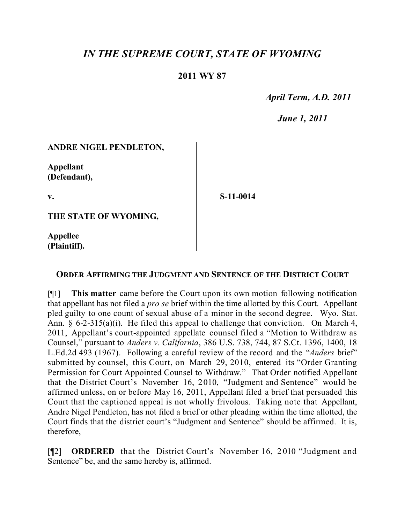# *IN THE SUPREME COURT, STATE OF WYOMING*

### **2011 WY 87**

 *April Term, A.D. 2011*

 *June 1, 2011*

#### **ANDRE NIGEL PENDLETON,**

**Appellant (Defendant),**

**v.**

**S-11-0014**

**THE STATE OF WYOMING,**

**Appellee (Plaintiff).**

#### **ORDER AFFIRMING THE JUDGMENT AND SENTENCE OF THE DISTRICT COURT**

[¶1] **This matter** came before the Court upon its own motion following notification that appellant has not filed a *pro se* brief within the time allotted by this Court. Appellant pled guilty to one count of sexual abuse of a minor in the second degree. Wyo. Stat. Ann. § 6-2-315(a)(i). He filed this appeal to challenge that conviction. On March 4, 2011, Appellant's court-appointed appellate counsel filed a "Motion to Withdraw as Counsel," pursuant to *Anders v. California*, 386 U.S. 738, 744, 87 S.Ct. 1396, 1400, 18 L.Ed.2d 493 (1967). Following a careful review of the record and the "*Anders* brief" submitted by counsel, this Court, on March 29, 2010, entered its "Order Granting Permission for Court Appointed Counsel to Withdraw." That Order notified Appellant that the District Court's November 16, 2010, "Judgment and Sentence" would be affirmed unless, on or before May 16, 2011, Appellant filed a brief that persuaded this Court that the captioned appeal is not wholly frivolous. Taking note that Appellant, Andre Nigel Pendleton, has not filed a brief or other pleading within the time allotted, the Court finds that the district court's "Judgment and Sentence" should be affirmed. It is, therefore,

[¶2] **ORDERED** that the District Court's November 16, 2010 "Judgment and Sentence" be, and the same hereby is, affirmed.